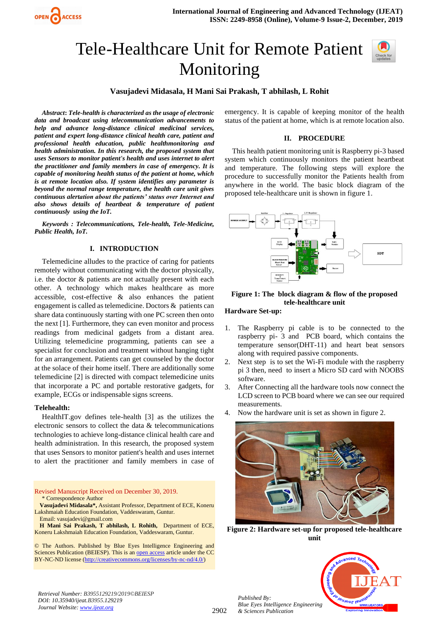

# Tele-Healthcare Unit for Remote Patient Monitoring



**Vasujadevi Midasala, H Mani Sai Prakash, T abhilash, L Rohit**

*Abstract***:** *Tele-health is characterized as the usage of electronic data and broadcast using telecommunication advancements to help and advance long-distance clinical medicinal services, patient and expert long-distance clinical health care, patient and professional health education, public healthmonitoring and health administration. In this research, the proposed system that uses Sensors to monitor patient's health and uses internet to alert the practitioner and family members in case of emergency. It is capable of monitoring health status of the patient at home, which is at remote location also. If system identifies any parameter is beyond the normal range temperature, the health care unit gives continuous alertation about the patients' status over Internet and also shows details of heartbeat & temperature of patient continuously using the IoT.*

*Keywords : Telecommunications, Tele-health, Tele-Medicine, Public Health, IoT.*

## **I. INTRODUCTION**

Telemedicine alludes to the practice of caring for patients remotely without communicating with the doctor physically, i.e. the doctor & patients are not actually present with each other. A technology which makes healthcare as more accessible, cost-effective & also enhances the patient engagement is called as telemedicine. Doctors & patients can share data continuously starting with one PC screen then onto the next [1]. Furthermore, they can even monitor and process readings from medicinal gadgets from a distant area. Utilizing telemedicine programming, patients can see a specialist for conclusion and treatment without hanging tight for an arrangement. Patients can get counseled by the doctor at the solace of their home itself. There are additionally some telemedicine [2] is directed with compact telemedicine units that incorporate a PC and portable restorative gadgets, for example, ECGs or indispensable signs screens.

#### **Telehealth:**

HealthIT.gov defines tele-health [3] as the utilizes the electronic sensors to collect the data & telecommunications technologies to achieve long-distance clinical health care and health administration. In this research, the proposed system that uses Sensors to monitor patient's health and uses internet to alert the practitioner and family members in case of

Revised Manuscript Received on December 30, 2019. \* Correspondence Author

**Vasujadevi Midasala\*,** Assistant Professor, Department of ECE, Koneru Lakshmaiah Education Foundation, Vaddeswaram, Guntur. Email: vasujadevi@gmail.com

**H Mani Sai Prakash, T abhilash, L Rohith,** Department of ECE, Koneru Lakshmaiah Education Foundation, Vaddeswaram, Guntur.

© The Authors. Published by Blue Eyes Intelligence Engineering and Sciences Publication (BEIESP). This is a[n open access](https://www.openaccess.nl/en/open-publications) article under the CC BY-NC-ND license [\(http://creativecommons.org/licenses/by-nc-nd/4.0/\)](http://creativecommons.org/licenses/by-nc-nd/4.0/)

emergency. It is capable of keeping monitor of the health status of the patient at home, which is at remote location also.

#### **II. PROCEDURE**

This health patient monitoring unit is Raspberry pi-3 based system which continuously monitors the patient heartbeat and temperature. The following steps will explore the procedure to successfully monitor the Patients health from anywhere in the world. The basic block diagram of the proposed tele-healthcare unit is shown in figure 1.



## **Figure 1: The block diagram & flow of the proposed tele-healthcare unit**

# **Hardware Set-up:**

- 1. The Raspberry pi cable is to be connected to the raspberry pi- 3 and PCB board, which contains the temperature sensor(DHT-11) and heart beat sensors along with required passive components.
- 2. Next step is to set the Wi-Fi module with the raspberry pi 3 then, need to insert a Micro SD card with NOOBS software.
- 3. After Connecting all the hardware tools now connect the LCD screen to PCB board where we can see our required measurements.
- 4. Now the hardware unit is set as shown in figure 2.



**Figure 2: Hardware set-up for proposed tele-healthcare unit**

*Published By: Blue Eyes Intelligence Engineering & Sciences Publication* 



*Retrieval Number: B3955129219/2019©BEIESP DOI: 10.35940/ijeat.B3955.129219 Journal Website[: www.ijeat.org](http://www.ijeat.org/)*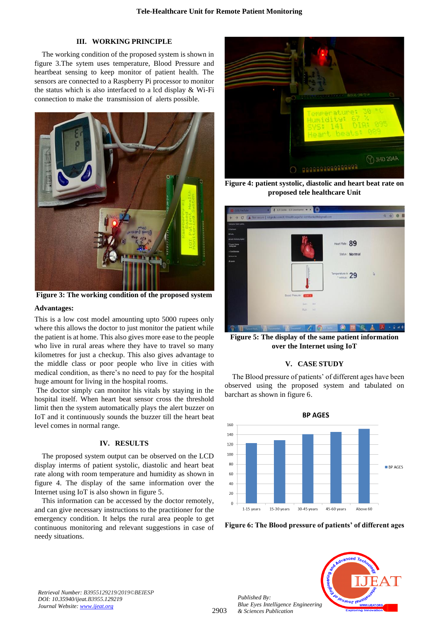## **III. WORKING PRINCIPLE**

The working condition of the proposed system is shown in figure 3.The sytem uses temperature, Blood Pressure and heartbeat sensing to keep monitor of patient health. The sensors are connected to a Raspberry Pi processor to monitor the status which is also interfaced to a lcd display & Wi-Fi connection to make the transmission of alerts possible.



**Figure 3: The working condition of the proposed system**

#### **Advantages:**

This is a low cost model amounting upto 5000 rupees only where this allows the doctor to just monitor the patient while the patient is at home. This also gives more ease to the people who live in rural areas where they have to travel so many kilometres for just a checkup. This also gives advantage to the middle class or poor people who live in cities with medical condition, as there's no need to pay for the hospital huge amount for living in the hospital rooms.

The doctor simply can monitor his vitals by staying in the hospital itself. When heart beat sensor cross the threshold limit then the system automatically plays the alert buzzer on IoT and it continuously sounds the buzzer till the heart beat level comes in normal range.

## **IV. RESULTS**

The proposed system output can be observed on the LCD display interms of patient systolic, diastolic and heart beat rate along with room temperature and humidity as shown in figure 4. The display of the same information over the Internet using IoT is also shown in figure 5.

This information can be accessed by the doctor remotely, and can give necessary instructions to the practitioner for the emergency condition. It helps the rural area people to get continuous monitoring and relevant suggestions in case of needy situations.



**Figure 4: patient systolic, diastolic and heart beat rate on proposed tele healthcare Unit**



**Figure 5: The display of the same patient information over the Internet using IoT**

## **V. CASE STUDY**

The Blood pressure of patients' of different ages have been observed using the proposed system and tabulated on barchart as shown in figure 6.



**Figure 6: The Blood pressure of patients' of different ages**



*Retrieval Number: B3955129219/2019©BEIESP DOI: 10.35940/ijeat.B3955.129219 Journal Website[: www.ijeat.org](http://www.ijeat.org/)*

2903

*Published By:*

*& Sciences Publication*